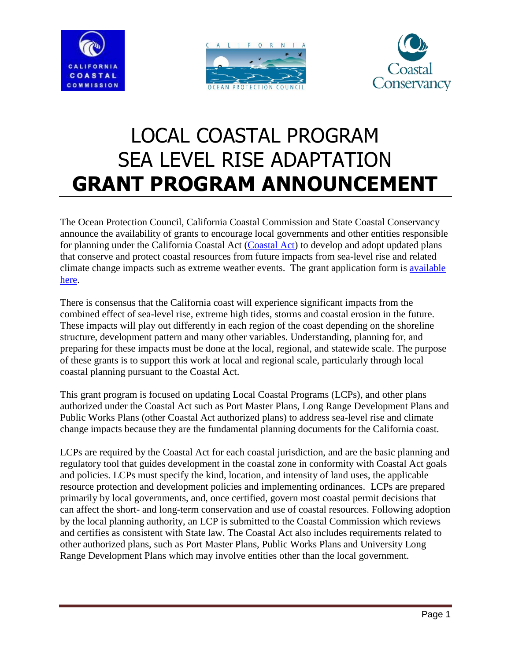





# LOCAL COASTAL PROGRAM SEA LEVEL RISE ADAPTATION **GRANT PROGRAM ANNOUNCEMENT**

The Ocean Protection Council, California Coastal Commission and State Coastal Conservancy announce the availability of grants to encourage local governments and other entities responsible for planning under the California Coastal Act [\(Coastal Act\)](http://www.coastal.ca.gov/coastact.pdf) to develop and adopt updated plans that conserve and protect coastal resources from future impacts from sea-level rise and related climate change impacts such as extreme weather events. The grant application form is [available](http://www.opc.ca.gov/webmaster/ftp/pdf/docs/LCP2013/LCP_SLR_Program_Application_FINAL.docx)  [here.](http://www.opc.ca.gov/webmaster/ftp/pdf/docs/LCP2013/LCP_SLR_Program_Application_FINAL.docx)

There is consensus that the California coast will experience significant impacts from the combined effect of sea-level rise, extreme high tides, storms and coastal erosion in the future. These impacts will play out differently in each region of the coast depending on the shoreline structure, development pattern and many other variables. Understanding, planning for, and preparing for these impacts must be done at the local, regional, and statewide scale. The purpose of these grants is to support this work at local and regional scale, particularly through local coastal planning pursuant to the Coastal Act.

This grant program is focused on updating Local Coastal Programs (LCPs), and other plans authorized under the Coastal Act such as Port Master Plans, Long Range Development Plans and Public Works Plans (other Coastal Act authorized plans) to address sea-level rise and climate change impacts because they are the fundamental planning documents for the California coast.

LCPs are required by the Coastal Act for each coastal jurisdiction, and are the basic planning and regulatory tool that guides development in the coastal zone in conformity with Coastal Act goals and policies. LCPs must specify the kind, location, and intensity of land uses, the applicable resource protection and development policies and implementing ordinances. LCPs are prepared primarily by local governments, and, once certified, govern most coastal permit decisions that can affect the short- and long-term conservation and use of coastal resources. Following adoption by the local planning authority, an LCP is submitted to the Coastal Commission which reviews and certifies as consistent with State law. The Coastal Act also includes requirements related to other authorized plans, such as Port Master Plans, Public Works Plans and University Long Range Development Plans which may involve entities other than the local government.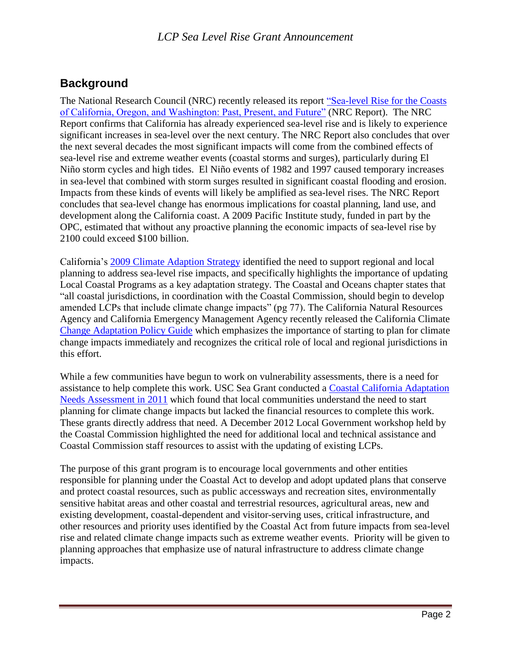# **Background**

The National Research Council (NRC) recently released its report ["Sea-level Rise for the Coasts](http://www.nap.edu/catalog.php?record_id=13389)  [of California, Oregon, and Washington: Past, Present, and Future"](http://www.nap.edu/catalog.php?record_id=13389) (NRC Report). The NRC Report confirms that California has already experienced sea-level rise and is likely to experience significant increases in sea-level over the next century. The NRC Report also concludes that over the next several decades the most significant impacts will come from the combined effects of sea-level rise and extreme weather events (coastal storms and surges), particularly during El Niño storm cycles and high tides. El Niño events of 1982 and 1997 caused temporary increases in sea-level that combined with storm surges resulted in significant coastal flooding and erosion. Impacts from these kinds of events will likely be amplified as sea-level rises. The NRC Report concludes that sea-level change has enormous implications for coastal planning, land use, and development along the California coast. A 2009 Pacific Institute study, funded in part by the OPC, estimated that without any proactive planning the economic impacts of sea-level rise by 2100 could exceed \$100 billion.

California's [2009 Climate Adaption Strategy](http://www.climatechange.ca.gov/adaptation/strategy/index.html) identified the need to support regional and local planning to address sea-level rise impacts, and specifically highlights the importance of updating Local Coastal Programs as a key adaptation strategy. The Coastal and Oceans chapter states that "all coastal jurisdictions, in coordination with the Coastal Commission, should begin to develop amended LCPs that include climate change impacts" (pg 77). The California Natural Resources Agency and California Emergency Management Agency recently released the California Climate [Change Adaptation Policy Guide](http://resources.ca.gov/climate_adaptation/docs/APG_-_PUBLIC_DRAFT_4.9.12_small.pdf) which emphasizes the importance of starting to plan for climate change impacts immediately and recognizes the critical role of local and regional jurisdictions in this effort.

While a few communities have begun to work on vulnerability assessments, there is a need for assistance to help complete this work. USC Sea Grant conducted a [Coastal California Adaptation](http://www.usc.edu/org/seagrant/research/climateadaptsurvey/SurveyReport_FINAL_OnlinePDF.pdf)  [Needs Assessment in 2011](http://www.usc.edu/org/seagrant/research/climateadaptsurvey/SurveyReport_FINAL_OnlinePDF.pdf) which found that local communities understand the need to start planning for climate change impacts but lacked the financial resources to complete this work. These grants directly address that need. A December 2012 Local Government workshop held by the Coastal Commission highlighted the need for additional local and technical assistance and Coastal Commission staff resources to assist with the updating of existing LCPs.

The purpose of this grant program is to encourage local governments and other entities responsible for planning under the Coastal Act to develop and adopt updated plans that conserve and protect coastal resources, such as public accessways and recreation sites, environmentally sensitive habitat areas and other coastal and terrestrial resources, agricultural areas, new and existing development, coastal-dependent and visitor-serving uses, critical infrastructure, and other resources and priority uses identified by the Coastal Act from future impacts from sea-level rise and related climate change impacts such as extreme weather events. Priority will be given to planning approaches that emphasize use of natural infrastructure to address climate change impacts.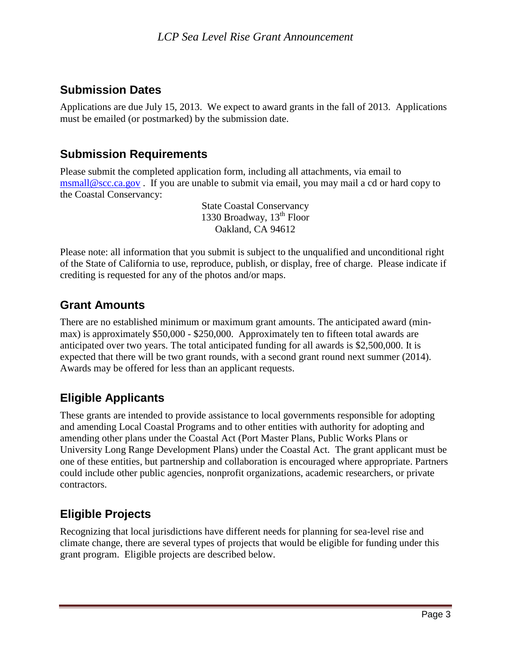## **Submission Dates**

Applications are due July 15, 2013. We expect to award grants in the fall of 2013. Applications must be emailed (or postmarked) by the submission date.

## **Submission Requirements**

Please submit the completed application form, including all attachments, via email to [msmall@scc.ca.gov](mailto:climate_grants@scc.ca.gov) . If you are unable to submit via email, you may mail a cd or hard copy to the Coastal Conservancy:

> State Coastal Conservancy 1330 Broadway,  $13<sup>th</sup>$  Floor Oakland, CA 94612

Please note: all information that you submit is subject to the unqualified and unconditional right of the State of California to use, reproduce, publish, or display, free of charge. Please indicate if crediting is requested for any of the photos and/or maps.

## **Grant Amounts**

There are no established minimum or maximum grant amounts. The anticipated award (minmax) is approximately \$50,000 - \$250,000. Approximately ten to fifteen total awards are anticipated over two years. The total anticipated funding for all awards is \$2,500,000. It is expected that there will be two grant rounds, with a second grant round next summer (2014). Awards may be offered for less than an applicant requests.

## **Eligible Applicants**

These grants are intended to provide assistance to local governments responsible for adopting and amending Local Coastal Programs and to other entities with authority for adopting and amending other plans under the Coastal Act (Port Master Plans, Public Works Plans or University Long Range Development Plans) under the Coastal Act. The grant applicant must be one of these entities, but partnership and collaboration is encouraged where appropriate. Partners could include other public agencies, nonprofit organizations, academic researchers, or private contractors.

# **Eligible Projects**

Recognizing that local jurisdictions have different needs for planning for sea-level rise and climate change, there are several types of projects that would be eligible for funding under this grant program. Eligible projects are described below.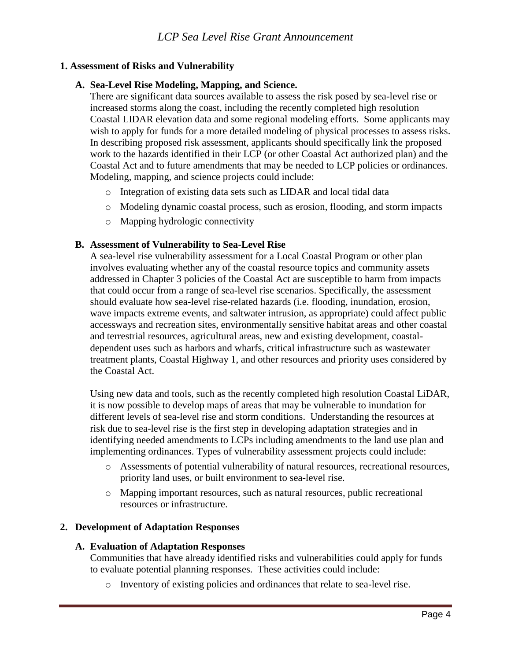## **1. Assessment of Risks and Vulnerability**

#### **A. Sea-Level Rise Modeling, Mapping, and Science.**

There are significant data sources available to assess the risk posed by sea-level rise or increased storms along the coast, including the recently completed high resolution Coastal LIDAR elevation data and some regional modeling efforts. Some applicants may wish to apply for funds for a more detailed modeling of physical processes to assess risks. In describing proposed risk assessment, applicants should specifically link the proposed work to the hazards identified in their LCP (or other Coastal Act authorized plan) and the Coastal Act and to future amendments that may be needed to LCP policies or ordinances. Modeling, mapping, and science projects could include:

- o Integration of existing data sets such as LIDAR and local tidal data
- o Modeling dynamic coastal process, such as erosion, flooding, and storm impacts
- o Mapping hydrologic connectivity

## **B. Assessment of Vulnerability to Sea-Level Rise**

A sea-level rise vulnerability assessment for a Local Coastal Program or other plan involves evaluating whether any of the coastal resource topics and community assets addressed in Chapter 3 policies of the Coastal Act are susceptible to harm from impacts that could occur from a range of sea-level rise scenarios. Specifically, the assessment should evaluate how sea-level rise-related hazards (i.e. flooding, inundation, erosion, wave impacts extreme events, and saltwater intrusion, as appropriate) could affect public accessways and recreation sites, environmentally sensitive habitat areas and other coastal and terrestrial resources, agricultural areas, new and existing development, coastaldependent uses such as harbors and wharfs, critical infrastructure such as wastewater treatment plants, Coastal Highway 1, and other resources and priority uses considered by the Coastal Act.

Using new data and tools, such as the recently completed high resolution Coastal LiDAR, it is now possible to develop maps of areas that may be vulnerable to inundation for different levels of sea-level rise and storm conditions. Understanding the resources at risk due to sea-level rise is the first step in developing adaptation strategies and in identifying needed amendments to LCPs including amendments to the land use plan and implementing ordinances. Types of vulnerability assessment projects could include:

- o Assessments of potential vulnerability of natural resources, recreational resources, priority land uses, or built environment to sea-level rise.
- o Mapping important resources, such as natural resources, public recreational resources or infrastructure.

## **2. Development of Adaptation Responses**

#### **A. Evaluation of Adaptation Responses**

Communities that have already identified risks and vulnerabilities could apply for funds to evaluate potential planning responses. These activities could include:

o Inventory of existing policies and ordinances that relate to sea-level rise.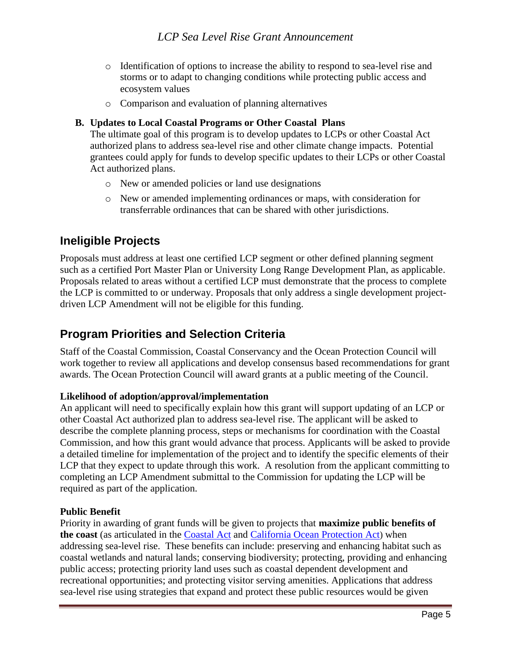- o Identification of options to increase the ability to respond to sea-level rise and storms or to adapt to changing conditions while protecting public access and ecosystem values
- o Comparison and evaluation of planning alternatives

#### **B. Updates to Local Coastal Programs or Other Coastal Plans**

The ultimate goal of this program is to develop updates to LCPs or other Coastal Act authorized plans to address sea-level rise and other climate change impacts. Potential grantees could apply for funds to develop specific updates to their LCPs or other Coastal Act authorized plans.

- o New or amended policies or land use designations
- o New or amended implementing ordinances or maps, with consideration for transferrable ordinances that can be shared with other jurisdictions.

## **Ineligible Projects**

Proposals must address at least one certified LCP segment or other defined planning segment such as a certified Port Master Plan or University Long Range Development Plan, as applicable. Proposals related to areas without a certified LCP must demonstrate that the process to complete the LCP is committed to or underway. Proposals that only address a single development projectdriven LCP Amendment will not be eligible for this funding.

# **Program Priorities and Selection Criteria**

Staff of the Coastal Commission, Coastal Conservancy and the Ocean Protection Council will work together to review all applications and develop consensus based recommendations for grant awards. The Ocean Protection Council will award grants at a public meeting of the Council.

## **Likelihood of adoption/approval/implementation**

An applicant will need to specifically explain how this grant will support updating of an LCP or other Coastal Act authorized plan to address sea-level rise. The applicant will be asked to describe the complete planning process, steps or mechanisms for coordination with the Coastal Commission, and how this grant would advance that process. Applicants will be asked to provide a detailed timeline for implementation of the project and to identify the specific elements of their LCP that they expect to update through this work. A resolution from the applicant committing to completing an LCP Amendment submittal to the Commission for updating the LCP will be required as part of the application.

#### **Public Benefit**

Priority in awarding of grant funds will be given to projects that **maximize public benefits of the coast** (as articulated in the [Coastal Act](http://www.coastal.ca.gov/coastact.pdf) and [California Ocean Protection Act](http://www.opc.ca.gov/california-ocean-protection-act/)) when addressing sea-level rise. These benefits can include: preserving and enhancing habitat such as coastal wetlands and natural lands; conserving biodiversity; protecting, providing and enhancing public access; protecting priority land uses such as coastal dependent development and recreational opportunities; and protecting visitor serving amenities. Applications that address sea-level rise using strategies that expand and protect these public resources would be given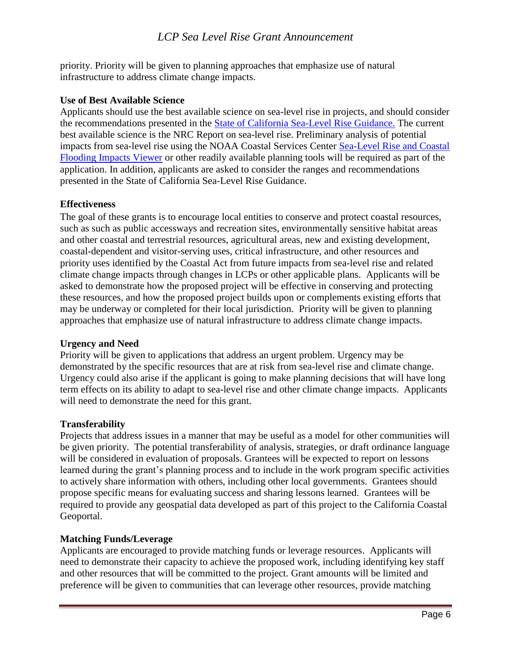## *LCP Sea Level Rise Grant Announcement*

priority. Priority will be given to planning approaches that emphasize use of natural infrastructure to address climate change impacts.

#### **Use of Best Available Science**

Applicants should use the best available science on sea-level rise in projects, and should consider the recommendations presented in the [State of California Sea-Level Rise Guidance.](http://www.opc.ca.gov/2013/04/update-to-the-sea-level-rise-guidance-document/) The current best available science is the NRC Report on sea-level rise. Preliminary analysis of potential impacts from sea-level rise using the NOAA Coastal Services Center [Sea-Level Rise and Coastal](http://www.csc.noaa.gov/digitalcoast/tools/slrviewer)  [Flooding Impacts Viewer](http://www.csc.noaa.gov/digitalcoast/tools/slrviewer) or other readily available planning tools will be required as part of the application. In addition, applicants are asked to consider the ranges and recommendations presented in the State of California Sea-Level Rise Guidance.

#### **Effectiveness**

The goal of these grants is to encourage local entities to conserve and protect coastal resources, such as such as public accessways and recreation sites, environmentally sensitive habitat areas and other coastal and terrestrial resources, agricultural areas, new and existing development, coastal-dependent and visitor-serving uses, critical infrastructure, and other resources and priority uses identified by the Coastal Act from future impacts from sea-level rise and related climate change impacts through changes in LCPs or other applicable plans. Applicants will be asked to demonstrate how the proposed project will be effective in conserving and protecting these resources, and how the proposed project builds upon or complements existing efforts that may be underway or completed for their local jurisdiction. Priority will be given to planning approaches that emphasize use of natural infrastructure to address climate change impacts.

#### **Urgency and Need**

Priority will be given to applications that address an urgent problem. Urgency may be demonstrated by the specific resources that are at risk from sea-level rise and climate change. Urgency could also arise if the applicant is going to make planning decisions that will have long term effects on its ability to adapt to sea-level rise and other climate change impacts. Applicants will need to demonstrate the need for this grant.

#### **Transferability**

Projects that address issues in a manner that may be useful as a model for other communities will be given priority. The potential transferability of analysis, strategies, or draft ordinance language will be considered in evaluation of proposals. Grantees will be expected to report on lessons learned during the grant's planning process and to include in the work program specific activities to actively share information with others, including other local governments. Grantees should propose specific means for evaluating success and sharing lessons learned. Grantees will be required to provide any geospatial data developed as part of this project to the California Coastal Geoportal.

#### **Matching Funds/Leverage**

Applicants are encouraged to provide matching funds or leverage resources. Applicants will need to demonstrate their capacity to achieve the proposed work, including identifying key staff and other resources that will be committed to the project. Grant amounts will be limited and preference will be given to communities that can leverage other resources, provide matching